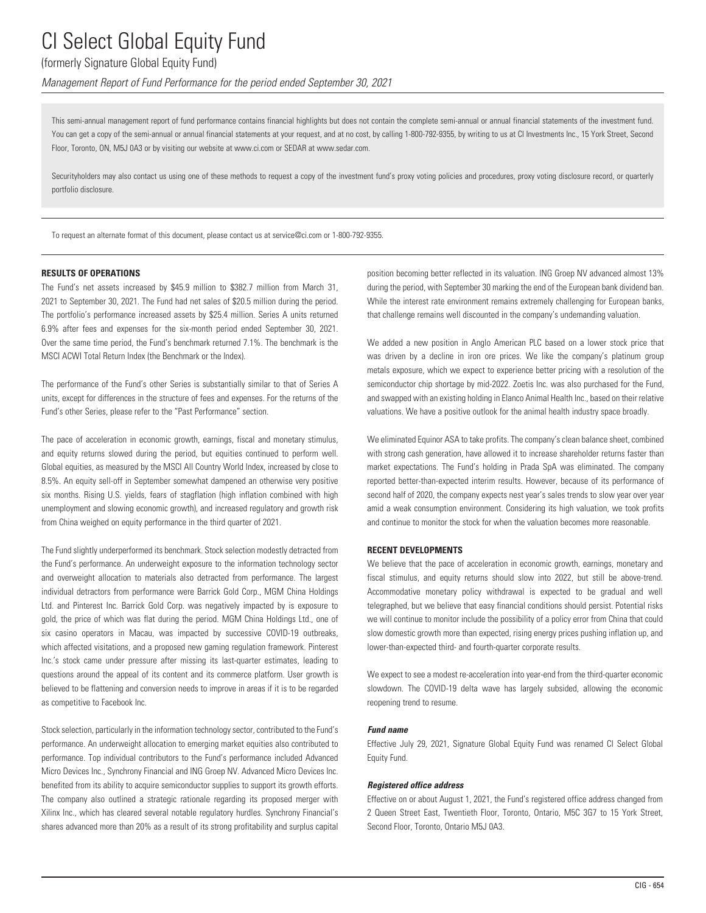### (formerly Signature Global Equity Fund)

*Management Report of Fund Performance for the period ended September 30, 2021*

This semi-annual management report of fund performance contains financial highlights but does not contain the complete semi-annual or annual financial statements of the investment fund. You can get a copy of the semi-annual or annual financial statements at your request, and at no cost, by calling 1-800-792-9355, by writing to us at CI Investments Inc., 15 York Street, Second Floor, Toronto, ON, M5J 0A3 or by visiting our website at www.ci.com or SEDAR at www.sedar.com.

Securityholders may also contact us using one of these methods to request a copy of the investment fund's proxy voting policies and procedures, proxy voting disclosure record, or quarterly portfolio disclosure.

To request an alternate format of this document, please contact us at service@ci.com or 1-800-792-9355.

### **RESULTS OF OPERATIONS**

The Fund's net assets increased by \$45.9 million to \$382.7 million from March 31, 2021 to September 30, 2021. The Fund had net sales of \$20.5 million during the period. The portfolio's performance increased assets by \$25.4 million. Series A units returned 6.9% after fees and expenses for the six-month period ended September 30, 2021. Over the same time period, the Fund's benchmark returned 7.1%. The benchmark is the MSCI ACWI Total Return Index (the Benchmark or the Index).

The performance of the Fund's other Series is substantially similar to that of Series A units, except for differences in the structure of fees and expenses. For the returns of the Fund's other Series, please refer to the "Past Performance" section.

The pace of acceleration in economic growth, earnings, fiscal and monetary stimulus, and equity returns slowed during the period, but equities continued to perform well. Global equities, as measured by the MSCI All Country World Index, increased by close to 8.5%. An equity sell-off in September somewhat dampened an otherwise very positive six months. Rising U.S. yields, fears of stagflation (high inflation combined with high unemployment and slowing economic growth), and increased regulatory and growth risk from China weighed on equity performance in the third quarter of 2021.

The Fund slightly underperformed its benchmark. Stock selection modestly detracted from the Fund's performance. An underweight exposure to the information technology sector and overweight allocation to materials also detracted from performance. The largest individual detractors from performance were Barrick Gold Corp., MGM China Holdings Ltd. and Pinterest Inc. Barrick Gold Corp. was negatively impacted by is exposure to gold, the price of which was flat during the period. MGM China Holdings Ltd., one of six casino operators in Macau, was impacted by successive COVID-19 outbreaks, which affected visitations, and a proposed new gaming regulation framework. Pinterest Inc.'s stock came under pressure after missing its last-quarter estimates, leading to questions around the appeal of its content and its commerce platform. User growth is believed to be flattening and conversion needs to improve in areas if it is to be regarded as competitive to Facebook Inc.

Stock selection, particularly in the information technology sector, contributed to the Fund's performance. An underweight allocation to emerging market equities also contributed to performance. Top individual contributors to the Fund's performance included Advanced Micro Devices Inc., Synchrony Financial and ING Groep NV. Advanced Micro Devices Inc. benefited from its ability to acquire semiconductor supplies to support its growth efforts. The company also outlined a strategic rationale regarding its proposed merger with Xilinx Inc., which has cleared several notable regulatory hurdles. Synchrony Financial's shares advanced more than 20% as a result of its strong profitability and surplus capital position becoming better reflected in its valuation. ING Groep NV advanced almost 13% during the period, with September 30 marking the end of the European bank dividend ban. While the interest rate environment remains extremely challenging for European banks, that challenge remains well discounted in the company's undemanding valuation.

We added a new position in Anglo American PLC based on a lower stock price that was driven by a decline in iron ore prices. We like the company's platinum group metals exposure, which we expect to experience better pricing with a resolution of the semiconductor chip shortage by mid-2022. Zoetis Inc. was also purchased for the Fund, and swapped with an existing holding in Elanco Animal Health Inc., based on their relative valuations. We have a positive outlook for the animal health industry space broadly.

We eliminated Equinor ASA to take profits. The company's clean balance sheet, combined with strong cash generation, have allowed it to increase shareholder returns faster than market expectations. The Fund's holding in Prada SpA was eliminated. The company reported better-than-expected interim results. However, because of its performance of second half of 2020, the company expects nest year's sales trends to slow year over year amid a weak consumption environment. Considering its high valuation, we took profits and continue to monitor the stock for when the valuation becomes more reasonable.

### **RECENT DEVELOPMENTS**

We believe that the pace of acceleration in economic growth, earnings, monetary and fiscal stimulus, and equity returns should slow into 2022, but still be above-trend. Accommodative monetary policy withdrawal is expected to be gradual and well telegraphed, but we believe that easy financial conditions should persist. Potential risks we will continue to monitor include the possibility of a policy error from China that could slow domestic growth more than expected, rising energy prices pushing inflation up, and lower-than-expected third- and fourth-quarter corporate results.

We expect to see a modest re-acceleration into year-end from the third-quarter economic slowdown. The COVID-19 delta wave has largely subsided, allowing the economic reopening trend to resume.

### *Fund name*

Effective July 29, 2021, Signature Global Equity Fund was renamed CI Select Global Equity Fund.

### *Registered office address*

Effective on or about August 1, 2021, the Fund's registered office address changed from 2 Queen Street East, Twentieth Floor, Toronto, Ontario, M5C 3G7 to 15 York Street, Second Floor, Toronto, Ontario M5J 0A3.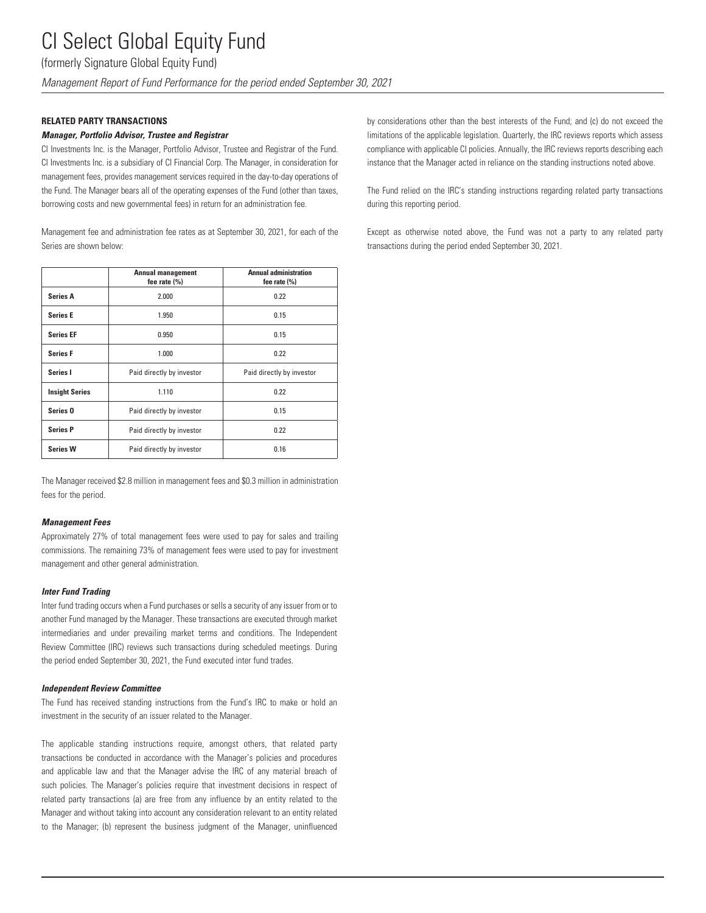(formerly Signature Global Equity Fund)

*Management Report of Fund Performance for the period ended September 30, 2021*

#### **RELATED PARTY TRANSACTIONS**

#### *Manager, Portfolio Advisor, Trustee and Registrar*

CI Investments Inc. is the Manager, Portfolio Advisor, Trustee and Registrar of the Fund. CI Investments Inc. is a subsidiary of CI Financial Corp. The Manager, in consideration for management fees, provides management services required in the day-to-day operations of the Fund. The Manager bears all of the operating expenses of the Fund (other than taxes, borrowing costs and new governmental fees) in return for an administration fee.

Management fee and administration fee rates as at September 30, 2021, for each of the Series are shown below:

|                       | <b>Annual management</b><br>fee rate $(\% )$ | <b>Annual administration</b><br>fee rate $(\% )$ |
|-----------------------|----------------------------------------------|--------------------------------------------------|
| <b>Series A</b>       | 2.000                                        | 0.22                                             |
| <b>Series E</b>       | 1.950                                        | 0.15                                             |
| <b>Series EF</b>      | 0.950                                        | 0.15                                             |
| <b>Series F</b>       | 1.000                                        | 0.22                                             |
| Series I              | Paid directly by investor                    | Paid directly by investor                        |
| <b>Insight Series</b> | 1.110                                        | 0.22                                             |
| Series <sub>0</sub>   | Paid directly by investor                    | 0.15                                             |
| <b>Series P</b>       | Paid directly by investor                    | 0.22                                             |
| <b>Series W</b>       | Paid directly by investor                    | 0.16                                             |

The Manager received \$2.8 million in management fees and \$0.3 million in administration fees for the period.

#### *Management Fees*

Approximately 27% of total management fees were used to pay for sales and trailing commissions. The remaining 73% of management fees were used to pay for investment management and other general administration.

#### *Inter Fund Trading*

Inter fund trading occurs when a Fund purchases or sells a security of any issuer from or to another Fund managed by the Manager. These transactions are executed through market intermediaries and under prevailing market terms and conditions. The Independent Review Committee (IRC) reviews such transactions during scheduled meetings. During the period ended September 30, 2021, the Fund executed inter fund trades.

#### *Independent Review Committee*

The Fund has received standing instructions from the Fund's IRC to make or hold an investment in the security of an issuer related to the Manager.

The applicable standing instructions require, amongst others, that related party transactions be conducted in accordance with the Manager's policies and procedures and applicable law and that the Manager advise the IRC of any material breach of such policies. The Manager's policies require that investment decisions in respect of related party transactions (a) are free from any influence by an entity related to the Manager and without taking into account any consideration relevant to an entity related to the Manager; (b) represent the business judgment of the Manager, uninfluenced by considerations other than the best interests of the Fund; and (c) do not exceed the limitations of the applicable legislation. Quarterly, the IRC reviews reports which assess compliance with applicable CI policies. Annually, the IRC reviews reports describing each instance that the Manager acted in reliance on the standing instructions noted above.

The Fund relied on the IRC's standing instructions regarding related party transactions during this reporting period.

Except as otherwise noted above, the Fund was not a party to any related party transactions during the period ended September 30, 2021.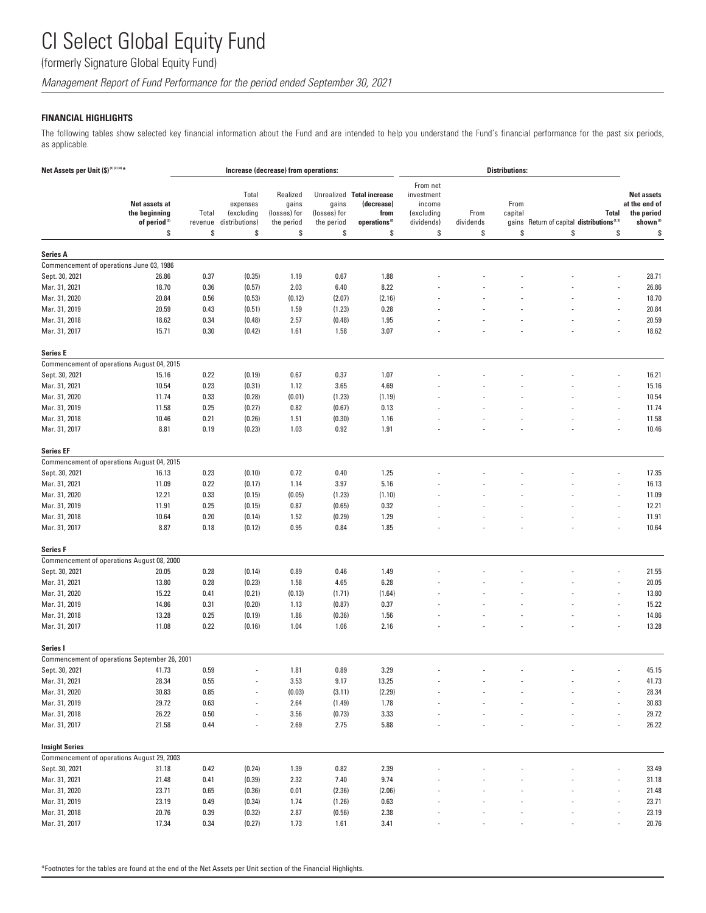(formerly Signature Global Equity Fund)

*Management Report of Fund Performance for the period ended September 30, 2021*

### **FINANCIAL HIGHLIGHTS**

The following tables show selected key financial information about the Fund and are intended to help you understand the Fund's financial performance for the past six periods, as applicable.

| Net Assets per Unit (\$) <sup>(1)(2)(4)*</sup> |                                                                  | Increase (decrease) from operations: |                                                         |                                                       |                                           |                                                                                    | <b>Distributions:</b>                                              |                         |                       |                                                             |                    |                                                                                |
|------------------------------------------------|------------------------------------------------------------------|--------------------------------------|---------------------------------------------------------|-------------------------------------------------------|-------------------------------------------|------------------------------------------------------------------------------------|--------------------------------------------------------------------|-------------------------|-----------------------|-------------------------------------------------------------|--------------------|--------------------------------------------------------------------------------|
|                                                | Net assets at<br>the beginning<br>of period <sup>(2)</sup><br>\$ | Total<br>revenue<br>\$               | Total<br>expenses<br>(excluding<br>distributions)<br>\$ | Realized<br>gains<br>(losses) for<br>the period<br>\$ | gains<br>(losses) for<br>the period<br>\$ | Unrealized Total increase<br>(decrease)<br>from<br>operations <sup>(2)</sup><br>\$ | From net<br>investment<br>income<br>(excluding<br>dividends)<br>\$ | From<br>dividends<br>\$ | From<br>capital<br>\$ | gains Return of capital distributions <sup>2,31</sup><br>\$ | <b>Total</b><br>\$ | <b>Net assets</b><br>at the end of<br>the period<br>shown <sup>(2)</sup><br>\$ |
|                                                |                                                                  |                                      |                                                         |                                                       |                                           |                                                                                    |                                                                    |                         |                       |                                                             |                    |                                                                                |
| <b>Series A</b>                                |                                                                  |                                      |                                                         |                                                       |                                           |                                                                                    |                                                                    |                         |                       |                                                             |                    |                                                                                |
|                                                | Commencement of operations June 03, 1986                         |                                      |                                                         |                                                       |                                           |                                                                                    |                                                                    |                         |                       |                                                             |                    |                                                                                |
| Sept. 30, 2021                                 | 26.86                                                            | 0.37                                 | (0.35)                                                  | 1.19                                                  | 0.67                                      | 1.88                                                                               |                                                                    |                         |                       |                                                             |                    | 28.71                                                                          |
| Mar. 31, 2021                                  | 18.70                                                            | 0.36                                 | (0.57)                                                  | 2.03                                                  | 6.40                                      | 8.22                                                                               |                                                                    |                         |                       |                                                             |                    | 26.86                                                                          |
| Mar. 31, 2020                                  | 20.84                                                            | 0.56                                 | (0.53)                                                  | (0.12)                                                | (2.07)                                    | (2.16)                                                                             |                                                                    |                         |                       |                                                             |                    | 18.70                                                                          |
| Mar. 31, 2019                                  | 20.59                                                            | 0.43                                 | (0.51)                                                  | 1.59                                                  | (1.23)                                    | 0.28                                                                               |                                                                    |                         |                       |                                                             |                    | 20.84                                                                          |
| Mar. 31, 2018                                  | 18.62                                                            | 0.34                                 | (0.48)                                                  | 2.57                                                  | (0.48)                                    | 1.95                                                                               |                                                                    |                         |                       |                                                             |                    | 20.59                                                                          |
| Mar. 31, 2017                                  | 15.71                                                            | 0.30                                 | (0.42)                                                  | 1.61                                                  | 1.58                                      | 3.07                                                                               |                                                                    |                         |                       |                                                             |                    | 18.62                                                                          |
| <b>Series E</b>                                |                                                                  |                                      |                                                         |                                                       |                                           |                                                                                    |                                                                    |                         |                       |                                                             |                    |                                                                                |
|                                                | Commencement of operations August 04, 2015                       |                                      |                                                         |                                                       |                                           |                                                                                    |                                                                    |                         |                       |                                                             |                    |                                                                                |
| Sept. 30, 2021                                 | 15.16                                                            | 0.22                                 | (0.19)                                                  | 0.67                                                  | 0.37                                      | 1.07                                                                               |                                                                    |                         |                       |                                                             |                    | 16.21                                                                          |
| Mar. 31, 2021                                  | 10.54                                                            | 0.23                                 | (0.31)                                                  | 1.12                                                  | 3.65                                      | 4.69                                                                               |                                                                    |                         |                       |                                                             |                    | 15.16                                                                          |
| Mar. 31, 2020                                  | 11.74                                                            | 0.33                                 | (0.28)                                                  | (0.01)                                                | (1.23)                                    | (1.19)                                                                             |                                                                    |                         |                       |                                                             |                    | 10.54                                                                          |
| Mar. 31, 2019                                  | 11.58                                                            | 0.25                                 | (0.27)                                                  | 0.82                                                  | (0.67)                                    | 0.13                                                                               |                                                                    |                         |                       |                                                             |                    | 11.74                                                                          |
| Mar. 31, 2018                                  | 10.46                                                            | 0.21                                 | (0.26)                                                  | 1.51                                                  | (0.30)                                    | 1.16                                                                               |                                                                    |                         |                       |                                                             |                    | 11.58                                                                          |
| Mar. 31, 2017                                  | 8.81                                                             | 0.19                                 | (0.23)                                                  | 1.03                                                  | 0.92                                      | 1.91                                                                               |                                                                    |                         |                       |                                                             |                    | 10.46                                                                          |
| <b>Series EF</b>                               |                                                                  |                                      |                                                         |                                                       |                                           |                                                                                    |                                                                    |                         |                       |                                                             |                    |                                                                                |
|                                                | Commencement of operations August 04, 2015                       |                                      |                                                         |                                                       |                                           |                                                                                    |                                                                    |                         |                       |                                                             |                    |                                                                                |
| Sept. 30, 2021                                 | 16.13                                                            | 0.23                                 | (0.10)                                                  | 0.72                                                  | 0.40                                      | 1.25                                                                               |                                                                    |                         |                       |                                                             |                    | 17.35                                                                          |
| Mar. 31, 2021                                  | 11.09                                                            | 0.22                                 | (0.17)                                                  | 1.14                                                  | 3.97                                      | 5.16                                                                               |                                                                    |                         |                       |                                                             |                    | 16.13                                                                          |
| Mar. 31, 2020                                  | 12.21                                                            | 0.33                                 | (0.15)                                                  | (0.05)                                                | (1.23)                                    | (1.10)                                                                             |                                                                    |                         |                       |                                                             |                    | 11.09                                                                          |
| Mar. 31, 2019                                  | 11.91                                                            | 0.25                                 | (0.15)                                                  | 0.87                                                  | (0.65)                                    | 0.32                                                                               |                                                                    |                         |                       |                                                             |                    | 12.21                                                                          |
| Mar. 31, 2018                                  | 10.64                                                            | 0.20                                 | (0.14)                                                  | 1.52                                                  | (0.29)                                    | 1.29                                                                               |                                                                    |                         |                       |                                                             |                    | 11.91                                                                          |
| Mar. 31, 2017                                  | 8.87                                                             | 0.18                                 | (0.12)                                                  | 0.95                                                  | 0.84                                      | 1.85                                                                               |                                                                    |                         |                       |                                                             |                    | 10.64                                                                          |
| <b>Series F</b>                                |                                                                  |                                      |                                                         |                                                       |                                           |                                                                                    |                                                                    |                         |                       |                                                             |                    |                                                                                |
|                                                | Commencement of operations August 08, 2000                       |                                      |                                                         |                                                       |                                           |                                                                                    |                                                                    |                         |                       |                                                             |                    |                                                                                |
| Sept. 30, 2021                                 | 20.05                                                            | 0.28                                 | (0.14)                                                  | 0.89                                                  | 0.46                                      | 1.49                                                                               |                                                                    |                         |                       |                                                             |                    | 21.55                                                                          |
| Mar. 31, 2021                                  | 13.80                                                            | 0.28                                 | (0.23)                                                  | 1.58                                                  | 4.65                                      | 6.28                                                                               |                                                                    |                         |                       |                                                             |                    | 20.05                                                                          |
| Mar. 31, 2020                                  | 15.22                                                            | 0.41                                 | (0.21)                                                  | (0.13)                                                | (1.71)                                    | (1.64)                                                                             |                                                                    |                         |                       |                                                             |                    | 13.80                                                                          |
| Mar. 31, 2019                                  | 14.86                                                            | 0.31                                 | (0.20)                                                  | 1.13                                                  | (0.87)                                    | 0.37                                                                               |                                                                    |                         |                       |                                                             |                    | 15.22                                                                          |
| Mar. 31, 2018                                  | 13.28                                                            | 0.25                                 | (0.19)                                                  | 1.86                                                  | (0.36)                                    | 1.56                                                                               |                                                                    |                         |                       |                                                             |                    | 14.86                                                                          |
| Mar. 31, 2017                                  | 11.08                                                            | 0.22                                 | (0.16)                                                  | 1.04                                                  | 1.06                                      | 2.16                                                                               |                                                                    |                         |                       |                                                             |                    | 13.28                                                                          |
| Series I                                       |                                                                  |                                      |                                                         |                                                       |                                           |                                                                                    |                                                                    |                         |                       |                                                             |                    |                                                                                |
|                                                | Commencement of operations September 26, 2001                    |                                      |                                                         |                                                       |                                           |                                                                                    |                                                                    |                         |                       |                                                             |                    |                                                                                |
| Sept. 30, 2021                                 | 41.73                                                            | 0.59                                 |                                                         | 1.81                                                  | 0.89                                      | 3.29                                                                               |                                                                    |                         |                       |                                                             |                    | 45.15                                                                          |
| Mar. 31, 2021                                  | 28.34                                                            | $0.55\,$                             |                                                         | 3.53                                                  | 9.17                                      | 13.25                                                                              |                                                                    |                         |                       |                                                             |                    | 41.73                                                                          |
| Mar. 31, 2020                                  | 30.83                                                            | 0.85                                 | $\overline{\phantom{a}}$                                | (0.03)                                                | (3.11)                                    | (2.29)                                                                             |                                                                    |                         |                       |                                                             |                    | 28.34                                                                          |
| Mar. 31, 2019                                  | 29.72                                                            | 0.63                                 |                                                         | 2.64                                                  | (1.49)                                    | 1.78                                                                               |                                                                    |                         |                       |                                                             |                    | 30.83                                                                          |
| Mar. 31, 2018                                  | 26.22                                                            | 0.50                                 |                                                         | 3.56                                                  | (0.73)                                    | 3.33                                                                               |                                                                    |                         |                       |                                                             |                    | 29.72                                                                          |
| Mar. 31, 2017                                  | 21.58                                                            | 0.44                                 |                                                         | 2.69                                                  | 2.75                                      | 5.88                                                                               |                                                                    |                         |                       |                                                             |                    | 26.22                                                                          |
| <b>Insight Series</b>                          |                                                                  |                                      |                                                         |                                                       |                                           |                                                                                    |                                                                    |                         |                       |                                                             |                    |                                                                                |
|                                                | Commencement of operations August 29, 2003                       |                                      |                                                         |                                                       |                                           |                                                                                    |                                                                    |                         |                       |                                                             |                    |                                                                                |
| Sept. 30, 2021                                 | 31.18                                                            | 0.42                                 | (0.24)                                                  | 1.39                                                  | 0.82                                      | 2.39                                                                               |                                                                    |                         |                       |                                                             |                    | 33.49                                                                          |
| Mar. 31, 2021                                  | 21.48                                                            | 0.41                                 | (0.39)                                                  | 2.32                                                  | 7.40                                      | 9.74                                                                               |                                                                    |                         |                       |                                                             |                    | 31.18                                                                          |
| Mar. 31, 2020                                  | 23.71                                                            | 0.65                                 | (0.36)                                                  | 0.01                                                  | (2.36)                                    | (2.06)                                                                             |                                                                    |                         |                       |                                                             |                    | 21.48                                                                          |
| Mar. 31, 2019                                  | 23.19                                                            | 0.49                                 | (0.34)                                                  | 1.74                                                  | (1.26)                                    | 0.63                                                                               |                                                                    |                         |                       |                                                             |                    | 23.71                                                                          |
| Mar. 31, 2018                                  | 20.76                                                            | 0.39                                 | (0.32)                                                  | 2.87                                                  | (0.56)                                    | 2.38                                                                               |                                                                    |                         |                       |                                                             |                    | 23.19                                                                          |
| Mar. 31, 2017                                  | 17.34                                                            | 0.34                                 | (0.27)                                                  | 1.73                                                  | 1.61                                      | 3.41                                                                               |                                                                    |                         |                       |                                                             |                    | 20.76                                                                          |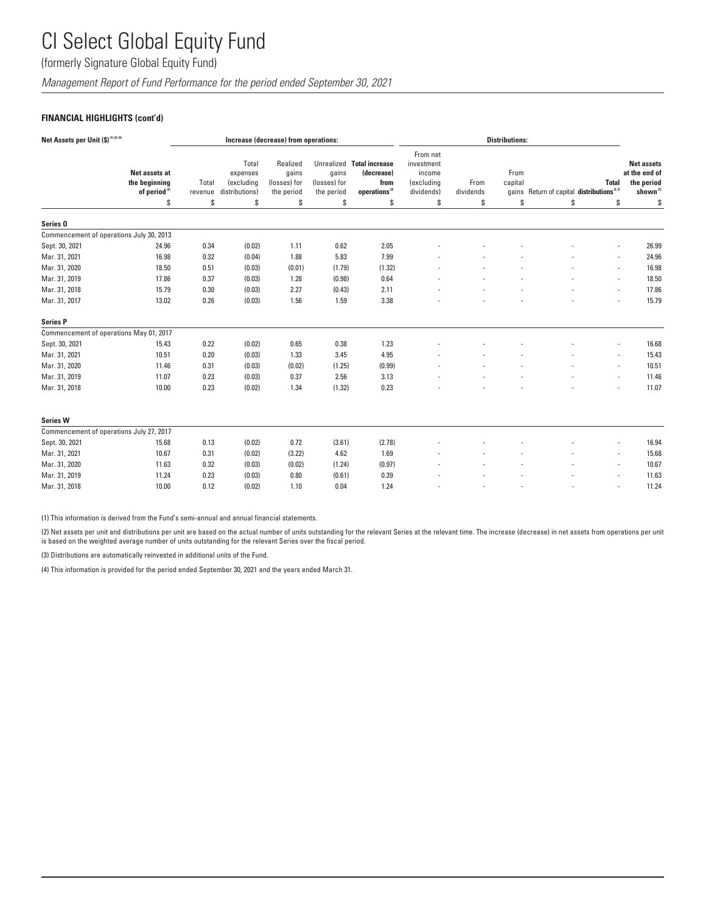(formerly Signature Global Equity Fund)

*Management Report of Fund Performance for the period ended September 30, 2021*

### **FINANCIAL HIGHLIGHTS (cont'd)**

| Net Assets per Unit (\$) <sup>(1)(2)(4)</sup> | Increase (decrease) from operations:                       |                  |                                                   |                                                 |                                     | <b>Distributions:</b>                                                        |                                                              |                   |                 |                                                       |                          |                                                                          |
|-----------------------------------------------|------------------------------------------------------------|------------------|---------------------------------------------------|-------------------------------------------------|-------------------------------------|------------------------------------------------------------------------------|--------------------------------------------------------------|-------------------|-----------------|-------------------------------------------------------|--------------------------|--------------------------------------------------------------------------|
|                                               | Net assets at<br>the beginning<br>of period <sup>(2)</sup> | Total<br>revenue | Total<br>expenses<br>(excluding<br>distributions) | Realized<br>gains<br>(losses) for<br>the period | gains<br>(losses) for<br>the period | Unrealized Total increase<br>(decrease)<br>from<br>operations <sup>(2)</sup> | From net<br>investment<br>income<br>(excluding<br>dividends) | From<br>dividends | From<br>capital | gains Return of capital distributions <sup>2.31</sup> | <b>Total</b>             | <b>Net assets</b><br>at the end of<br>the period<br>shown <sup>(2)</sup> |
|                                               | S                                                          | S                | S                                                 | \$                                              | \$                                  | \$                                                                           | S                                                            | \$                | S               | \$                                                    | \$                       | \$                                                                       |
| Series <sub>0</sub>                           |                                                            |                  |                                                   |                                                 |                                     |                                                                              |                                                              |                   |                 |                                                       |                          |                                                                          |
|                                               | Commencement of operations July 30, 2013                   |                  |                                                   |                                                 |                                     |                                                                              |                                                              |                   |                 |                                                       |                          |                                                                          |
| Sept. 30, 2021                                | 24.96                                                      | 0.34             | (0.02)                                            | 1.11                                            | 0.62                                | 2.05                                                                         |                                                              |                   |                 |                                                       |                          | 26.99                                                                    |
| Mar. 31, 2021                                 | 16.98                                                      | 0.32             | (0.04)                                            | 1.88                                            | 5.83                                | 7.99                                                                         |                                                              |                   |                 |                                                       |                          | 24.96                                                                    |
| Mar. 31, 2020                                 | 18.50                                                      | 0.51             | (0.03)                                            | (0.01)                                          | (1.79)                              | (1.32)                                                                       |                                                              |                   |                 |                                                       |                          | 16.98                                                                    |
| Mar. 31, 2019                                 | 17.86                                                      | 0.37             | (0.03)                                            | 1.28                                            | (0.98)                              | 0.64                                                                         |                                                              |                   |                 |                                                       | $\sim$                   | 18.50                                                                    |
| Mar. 31, 2018                                 | 15.79                                                      | 0.30             | (0.03)                                            | 2.27                                            | (0.43)                              | 2.11                                                                         |                                                              |                   |                 |                                                       |                          | 17.86                                                                    |
| Mar. 31, 2017                                 | 13.02                                                      | 0.26             | (0.03)                                            | 1.56                                            | 1.59                                | 3.38                                                                         |                                                              |                   |                 |                                                       |                          | 15.79                                                                    |
| <b>Series P</b>                               |                                                            |                  |                                                   |                                                 |                                     |                                                                              |                                                              |                   |                 |                                                       |                          |                                                                          |
|                                               | Commencement of operations May 01, 2017                    |                  |                                                   |                                                 |                                     |                                                                              |                                                              |                   |                 |                                                       |                          |                                                                          |
| Sept. 30, 2021                                | 15.43                                                      | 0.22             | (0.02)                                            | 0.65                                            | 0.38                                | 1.23                                                                         |                                                              |                   |                 |                                                       |                          | 16.68                                                                    |
| Mar. 31, 2021                                 | 10.51                                                      | 0.20             | (0.03)                                            | 1.33                                            | 3.45                                | 4.95                                                                         |                                                              |                   |                 |                                                       |                          | 15.43                                                                    |
| Mar. 31, 2020                                 | 11.46                                                      | 0.31             | (0.03)                                            | (0.02)                                          | (1.25)                              | (0.99)                                                                       |                                                              |                   |                 |                                                       | $\overline{\phantom{a}}$ | 10.51                                                                    |
| Mar. 31, 2019                                 | 11.07                                                      | 0.23             | (0.03)                                            | 0.37                                            | 2.56                                | 3.13                                                                         |                                                              |                   |                 |                                                       |                          | 11.46                                                                    |
| Mar. 31, 2018                                 | 10.00                                                      | 0.23             | (0.02)                                            | 1.34                                            | (1.32)                              | 0.23                                                                         |                                                              |                   |                 |                                                       |                          | 11.07                                                                    |
| <b>Series W</b>                               |                                                            |                  |                                                   |                                                 |                                     |                                                                              |                                                              |                   |                 |                                                       |                          |                                                                          |
|                                               | Commencement of operations July 27, 2017                   |                  |                                                   |                                                 |                                     |                                                                              |                                                              |                   |                 |                                                       |                          |                                                                          |
| Sept. 30, 2021                                | 15.68                                                      | 0.13             | (0.02)                                            | 0.72                                            | (3.61)                              | (2.78)                                                                       |                                                              |                   |                 |                                                       |                          | 16.94                                                                    |
| Mar. 31, 2021                                 | 10.67                                                      | 0.31             | (0.02)                                            | (3.22)                                          | 4.62                                | 1.69                                                                         |                                                              |                   |                 |                                                       |                          | 15.68                                                                    |
| Mar. 31, 2020                                 | 11.63                                                      | 0.32             | (0.03)                                            | (0.02)                                          | (1.24)                              | (0.97)                                                                       |                                                              |                   |                 |                                                       | $\overline{\phantom{a}}$ | 10.67                                                                    |
| Mar. 31, 2019                                 | 11.24                                                      | 0.23             | (0.03)                                            | 0.80                                            | (0.61)                              | 0.39                                                                         |                                                              |                   |                 |                                                       |                          | 11.63                                                                    |
| Mar. 31, 2018                                 | 10.00                                                      | 0.12             | (0.02)                                            | 1.10                                            | 0.04                                | 1.24                                                                         |                                                              |                   |                 |                                                       |                          | 11.24                                                                    |

(1) This information is derived from the Fund's semi-annual and annual financial statements.

(2) Net assets per unit and distributions per unit are based on the actual number of units outstanding for the relevant Series at the relevant time. The increase (decrease) in net assets from operations per unit is based on the weighted average number of units outstanding for the relevant Series over the fiscal period.

(3) Distributions are automatically reinvested in additional units of the Fund.

(4) This information is provided for the period ended September 30, 2021 and the years ended March 31.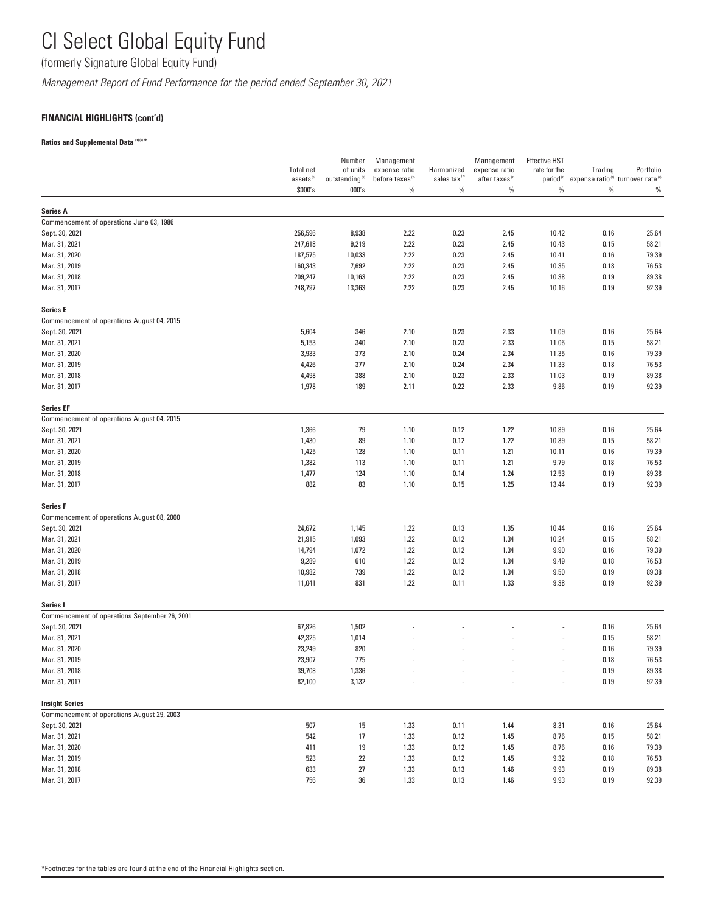(formerly Signature Global Equity Fund)

*Management Report of Fund Performance for the period ended September 30, 2021*

### **FINANCIAL HIGHLIGHTS (cont'd)**

### **Ratios and Supplemental Data (1) (5) \***

|                                               |                                  | Number                              | Management                          |                                  | Management                         | <b>Effective HST</b> |                                                                                         |           |
|-----------------------------------------------|----------------------------------|-------------------------------------|-------------------------------------|----------------------------------|------------------------------------|----------------------|-----------------------------------------------------------------------------------------|-----------|
|                                               | <b>Total net</b>                 | of units                            | expense ratio                       | Harmonized                       | expense ratio                      | rate for the         | Trading                                                                                 | Portfolio |
|                                               | assets <sup>(5)</sup><br>\$000's | outstanding <sup>(5)</sup><br>000's | before taxes <sup>(2)</sup><br>$\%$ | sales tax <sup>(2)</sup><br>$\%$ | after taxes <sup>(2)</sup><br>$\%$ | $\%$                 | period <sup>(2)</sup> expense ratio <sup>(3)</sup> turnover rate <sup>(4)</sup><br>$\%$ | %         |
| <b>Series A</b>                               |                                  |                                     |                                     |                                  |                                    |                      |                                                                                         |           |
| Commencement of operations June 03, 1986      |                                  |                                     |                                     |                                  |                                    |                      |                                                                                         |           |
| Sept. 30, 2021                                | 256,596                          | 8,938                               | 2.22                                | 0.23                             | 2.45                               | 10.42                | 0.16                                                                                    | 25.64     |
| Mar. 31, 2021                                 | 247,618                          | 9,219                               | 2.22                                | 0.23                             | 2.45                               | 10.43                | 0.15                                                                                    | 58.21     |
| Mar. 31, 2020                                 | 187,575                          | 10,033                              | 2.22                                | 0.23                             | 2.45                               | 10.41                | 0.16                                                                                    | 79.39     |
| Mar. 31, 2019                                 | 160,343                          | 7,692                               | 2.22                                | 0.23                             | 2.45                               | 10.35                | 0.18                                                                                    | 76.53     |
| Mar. 31, 2018                                 | 209,247                          | 10,163                              | 2.22                                | 0.23                             | 2.45                               | 10.38                | 0.19                                                                                    | 89.38     |
| Mar. 31, 2017                                 | 248,797                          | 13,363                              | 2.22                                | 0.23                             | 2.45                               | 10.16                | 0.19                                                                                    | 92.39     |
| <b>Series E</b>                               |                                  |                                     |                                     |                                  |                                    |                      |                                                                                         |           |
| Commencement of operations August 04, 2015    |                                  |                                     |                                     |                                  |                                    |                      |                                                                                         |           |
| Sept. 30, 2021                                | 5,604                            | 346                                 | 2.10                                | 0.23                             | 2.33                               | 11.09                | 0.16                                                                                    | 25.64     |
| Mar. 31, 2021                                 | 5,153                            | 340                                 | 2.10                                | 0.23                             | 2.33                               | 11.06                | 0.15                                                                                    | 58.21     |
| Mar. 31, 2020                                 | 3,933                            | 373                                 | 2.10                                | 0.24                             | 2.34                               | 11.35                | 0.16                                                                                    | 79.39     |
| Mar. 31, 2019                                 | 4,426                            | 377                                 | 2.10                                | 0.24                             | 2.34                               | 11.33                | 0.18                                                                                    | 76.53     |
| Mar. 31, 2018                                 | 4,498                            | 388                                 | 2.10                                | 0.23                             | 2.33                               | 11.03                | 0.19                                                                                    | 89.38     |
| Mar. 31, 2017                                 | 1,978                            | 189                                 | 2.11                                | 0.22                             | 2.33                               | 9.86                 | 0.19                                                                                    | 92.39     |
| <b>Series EF</b>                              |                                  |                                     |                                     |                                  |                                    |                      |                                                                                         |           |
| Commencement of operations August 04, 2015    |                                  |                                     |                                     |                                  |                                    |                      |                                                                                         |           |
| Sept. 30, 2021                                | 1,366                            | 79                                  | 1.10                                | 0.12                             | 1.22                               | 10.89                | 0.16                                                                                    | 25.64     |
| Mar. 31, 2021                                 | 1,430                            | 89                                  | 1.10                                | 0.12                             | 1.22                               | 10.89                | 0.15                                                                                    | 58.21     |
| Mar. 31, 2020                                 | 1,425                            | 128                                 | 1.10                                | 0.11                             | 1.21                               | 10.11                | 0.16                                                                                    | 79.39     |
| Mar. 31, 2019                                 | 1,382                            | 113                                 | 1.10                                | 0.11                             | 1.21                               | 9.79                 | 0.18                                                                                    | 76.53     |
| Mar. 31, 2018                                 | 1,477                            | 124                                 | 1.10                                | 0.14                             | 1.24                               | 12.53                | 0.19                                                                                    | 89.38     |
| Mar. 31, 2017                                 | 882                              | 83                                  | 1.10                                | 0.15                             | 1.25                               | 13.44                | 0.19                                                                                    | 92.39     |
| <b>Series F</b>                               |                                  |                                     |                                     |                                  |                                    |                      |                                                                                         |           |
| Commencement of operations August 08, 2000    |                                  |                                     |                                     |                                  |                                    |                      |                                                                                         |           |
| Sept. 30, 2021                                | 24,672                           | 1,145                               | 1.22                                | 0.13                             | 1.35                               | 10.44                | 0.16                                                                                    | 25.64     |
| Mar. 31, 2021                                 | 21,915                           | 1,093                               | 1.22                                | 0.12                             | 1.34                               | 10.24                | 0.15                                                                                    | 58.21     |
| Mar. 31, 2020                                 | 14,794                           | 1,072                               | 1.22                                | 0.12                             | 1.34                               | 9.90                 | 0.16                                                                                    | 79.39     |
| Mar. 31, 2019                                 | 9,289                            | 610                                 | 1.22                                | 0.12                             | 1.34                               | 9.49                 | 0.18                                                                                    | 76.53     |
| Mar. 31, 2018                                 | 10,982                           | 739                                 | 1.22                                | 0.12                             | 1.34                               | 9.50                 | 0.19                                                                                    | 89.38     |
| Mar. 31, 2017                                 | 11,041                           | 831                                 | 1.22                                | 0.11                             | 1.33                               | 9.38                 | 0.19                                                                                    | 92.39     |
| Series I                                      |                                  |                                     |                                     |                                  |                                    |                      |                                                                                         |           |
| Commencement of operations September 26, 2001 |                                  |                                     |                                     |                                  |                                    |                      |                                                                                         |           |
| Sept. 30, 2021                                | 67,826                           | 1,502                               |                                     |                                  |                                    |                      | 0.16                                                                                    | 25.64     |
| Mar. 31, 2021                                 | 42,325                           | 1,014                               |                                     |                                  |                                    |                      | 0.15                                                                                    | 58.21     |
| Mar. 31, 2020                                 | 23,249                           | 820                                 |                                     |                                  |                                    |                      | 0.16                                                                                    | 79.39     |
| Mar. 31, 2019                                 | 23,907                           | 775                                 |                                     |                                  |                                    |                      | 0.18                                                                                    | 76.53     |
| Mar. 31, 2018                                 | 39,708                           | 1,336                               |                                     |                                  |                                    |                      | 0.19                                                                                    | 89.38     |
| Mar. 31, 2017                                 | 82,100                           | 3,132                               |                                     |                                  |                                    |                      | 0.19                                                                                    | 92.39     |
| <b>Insight Series</b>                         |                                  |                                     |                                     |                                  |                                    |                      |                                                                                         |           |
| Commencement of operations August 29, 2003    |                                  |                                     |                                     |                                  |                                    |                      |                                                                                         |           |
| Sept. 30, 2021                                | 507                              | 15                                  | 1.33                                | 0.11                             | 1.44                               | 8.31                 | 0.16                                                                                    | 25.64     |
| Mar. 31, 2021                                 | 542                              | 17                                  | 1.33                                | 0.12                             | 1.45                               | 8.76                 | 0.15                                                                                    | 58.21     |
| Mar. 31, 2020                                 | 411                              | 19                                  | 1.33                                | 0.12                             | 1.45                               | 8.76                 | 0.16                                                                                    | 79.39     |
| Mar. 31, 2019                                 | 523                              | 22                                  | 1.33                                | 0.12                             | 1.45                               | 9.32                 | 0.18                                                                                    | 76.53     |
| Mar. 31, 2018                                 | 633                              | 27                                  | 1.33                                | 0.13                             | 1.46                               | 9.93                 | 0.19                                                                                    | 89.38     |
| Mar. 31, 2017                                 | 756                              | 36                                  | 1.33                                | 0.13                             | 1.46                               | 9.93                 | 0.19                                                                                    | 92.39     |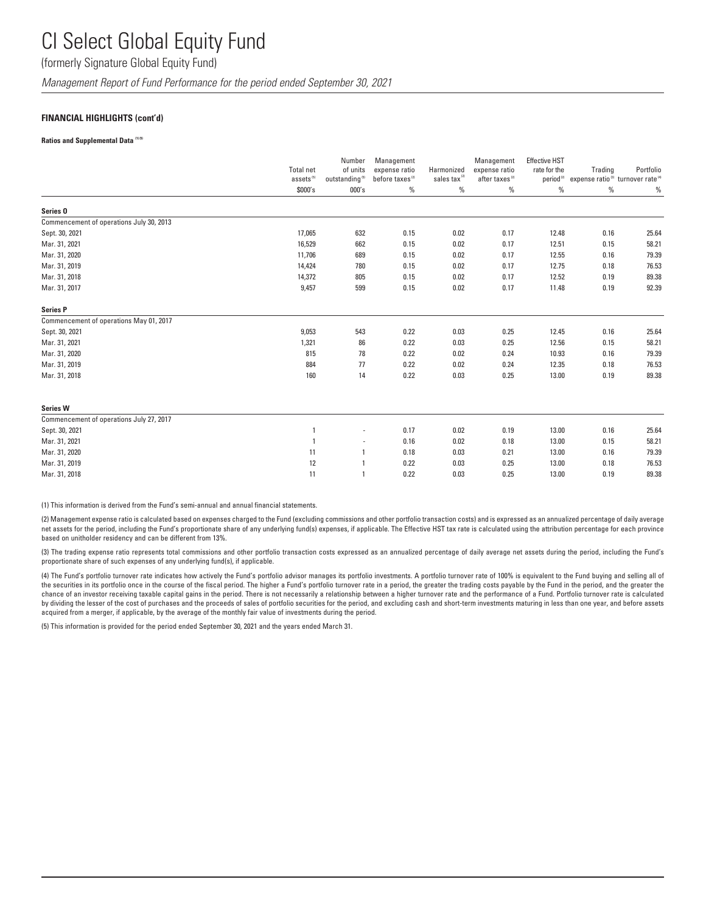(formerly Signature Global Equity Fund)

*Management Report of Fund Performance for the period ended September 30, 2021*

#### **FINANCIAL HIGHLIGHTS (cont'd)**

#### **Ratios and Supplemental Data (1) (5)**

|                                          | <b>Total net</b><br>assets <sup>(5)</sup> | Number<br>of units<br>outstanding <sup>(5)</sup> | Management<br>expense ratio<br>before taxes <sup>(2)</sup> | Harmonized<br>sales tax <sup>(2)</sup> | Management<br>expense ratio<br>after taxes <sup>(2)</sup> | <b>Effective HST</b><br>rate for the<br>period <sup>(2)</sup> | Trading<br>expense ratio <sup>(3)</sup> turnover rate <sup>(4)</sup> | Portfolio |
|------------------------------------------|-------------------------------------------|--------------------------------------------------|------------------------------------------------------------|----------------------------------------|-----------------------------------------------------------|---------------------------------------------------------------|----------------------------------------------------------------------|-----------|
|                                          | \$000's                                   | 000's                                            | $\%$                                                       | $\%$                                   | $\%$                                                      | $\%$                                                          | $\%$                                                                 | $\%$      |
| Series <sub>0</sub>                      |                                           |                                                  |                                                            |                                        |                                                           |                                                               |                                                                      |           |
| Commencement of operations July 30, 2013 |                                           |                                                  |                                                            |                                        |                                                           |                                                               |                                                                      |           |
| Sept. 30, 2021                           | 17,065                                    | 632                                              | 0.15                                                       | 0.02                                   | 0.17                                                      | 12.48                                                         | 0.16                                                                 | 25.64     |
| Mar. 31, 2021                            | 16,529                                    | 662                                              | 0.15                                                       | 0.02                                   | 0.17                                                      | 12.51                                                         | 0.15                                                                 | 58.21     |
| Mar. 31, 2020                            | 11,706                                    | 689                                              | 0.15                                                       | 0.02                                   | 0.17                                                      | 12.55                                                         | 0.16                                                                 | 79.39     |
| Mar. 31, 2019                            | 14,424                                    | 780                                              | 0.15                                                       | 0.02                                   | 0.17                                                      | 12.75                                                         | 0.18                                                                 | 76.53     |
| Mar. 31, 2018                            | 14,372                                    | 805                                              | 0.15                                                       | 0.02                                   | 0.17                                                      | 12.52                                                         | 0.19                                                                 | 89.38     |
| Mar. 31, 2017                            | 9,457                                     | 599                                              | 0.15                                                       | 0.02                                   | 0.17                                                      | 11.48                                                         | 0.19                                                                 | 92.39     |
| <b>Series P</b>                          |                                           |                                                  |                                                            |                                        |                                                           |                                                               |                                                                      |           |
| Commencement of operations May 01, 2017  |                                           |                                                  |                                                            |                                        |                                                           |                                                               |                                                                      |           |
| Sept. 30, 2021                           | 9,053                                     | 543                                              | 0.22                                                       | 0.03                                   | 0.25                                                      | 12.45                                                         | 0.16                                                                 | 25.64     |
| Mar. 31, 2021                            | 1,321                                     | 86                                               | 0.22                                                       | 0.03                                   | 0.25                                                      | 12.56                                                         | 0.15                                                                 | 58.21     |
| Mar. 31, 2020                            | 815                                       | 78                                               | 0.22                                                       | 0.02                                   | 0.24                                                      | 10.93                                                         | 0.16                                                                 | 79.39     |
| Mar. 31, 2019                            | 884                                       | 77                                               | 0.22                                                       | 0.02                                   | 0.24                                                      | 12.35                                                         | 0.18                                                                 | 76.53     |
| Mar. 31, 2018                            | 160                                       | 14                                               | 0.22                                                       | 0.03                                   | 0.25                                                      | 13.00                                                         | 0.19                                                                 | 89.38     |
| <b>Series W</b>                          |                                           |                                                  |                                                            |                                        |                                                           |                                                               |                                                                      |           |
| Commencement of operations July 27, 2017 |                                           |                                                  |                                                            |                                        |                                                           |                                                               |                                                                      |           |
| Sept. 30, 2021                           | $\overline{1}$                            |                                                  | 0.17                                                       | 0.02                                   | 0.19                                                      | 13.00                                                         | 0.16                                                                 | 25.64     |
| Mar. 31, 2021                            | $\overline{1}$                            | ٠                                                | 0.16                                                       | 0.02                                   | 0.18                                                      | 13.00                                                         | 0.15                                                                 | 58.21     |
| Mar. 31, 2020                            | 11                                        | $\mathbf{1}$                                     | 0.18                                                       | 0.03                                   | 0.21                                                      | 13.00                                                         | 0.16                                                                 | 79.39     |
| Mar. 31, 2019                            | 12                                        | $\overline{1}$                                   | 0.22                                                       | 0.03                                   | 0.25                                                      | 13.00                                                         | 0.18                                                                 | 76.53     |
| Mar. 31, 2018                            | 11                                        | $\overline{1}$                                   | 0.22                                                       | 0.03                                   | 0.25                                                      | 13.00                                                         | 0.19                                                                 | 89.38     |

(1) This information is derived from the Fund's semi-annual and annual financial statements.

(2) Management expense ratio is calculated based on expenses charged to the Fund (excluding commissions and other portfolio transaction costs) and is expressed as an annualized percentage of daily average net assets for the period, including the Fund's proportionate share of any underlying fund(s) expenses, if applicable. The Effective HST tax rate is calculated using the attribution percentage for each province based on unitholder residency and can be different from 13%.

(3) The trading expense ratio represents total commissions and other portfolio transaction costs expressed as an annualized percentage of daily average net assets during the period, including the Fund's proportionate share of such expenses of any underlying fund(s), if applicable.

(4) The Fund's portfolio turnover rate indicates how actively the Fund's portfolio advisor manages its portfolio investments. A portfolio turnover rate of 100% is equivalent to the Fund buying and selling all of the securities in its portfolio once in the course of the fiscal period. The higher a Fund's portfolio turnover rate in a period, the greater the trading costs payable by the Fund in the period, and the greater the chance of an investor receiving taxable capital gains in the period. There is not necessarily a relationship between a higher turnover rate and the performance of a Fund. Portfolio turnover rate is calculated by dividing the lesser of the cost of purchases and the proceeds of sales of portfolio securities for the period, and excluding cash and short-term investments maturing in less than one year, and before assets acquired from a merger, if applicable, by the average of the monthly fair value of investments during the period.

(5) This information is provided for the period ended September 30, 2021 and the years ended March 31.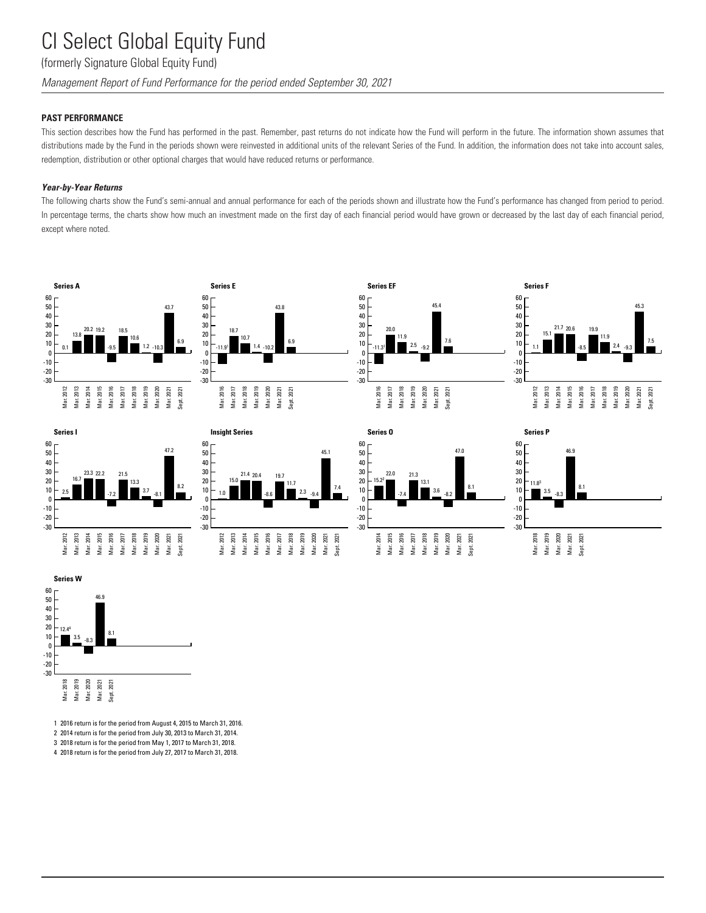### (formerly Signature Global Equity Fund)

*Management Report of Fund Performance for the period ended September 30, 2021*

#### **PAST PERFORMANCE**

This section describes how the Fund has performed in the past. Remember, past returns do not indicate how the Fund will perform in the future. The information shown assumes that distributions made by the Fund in the periods shown were reinvested in additional units of the relevant Series of the Fund. In addition, the information does not take into account sales, redemption, distribution or other optional charges that would have reduced returns or performance.

#### *Year-by-Year Returns*

The following charts show the Fund's semi-annual and annual performance for each of the periods shown and illustrate how the Fund's performance has changed from period to period. In percentage terms, the charts show how much an investment made on the first day of each financial period would have grown or decreased by the last day of each financial period, except where noted.



















1 2016 return is for the period from August 4, 2015 to March 31, 2016.

2 2014 return is for the period from July 30, 2013 to March 31, 2014.

3 2018 return is for the period from May 1, 2017 to March 31, 2018.

4 2018 return is for the period from July 27, 2017 to March 31, 2018.